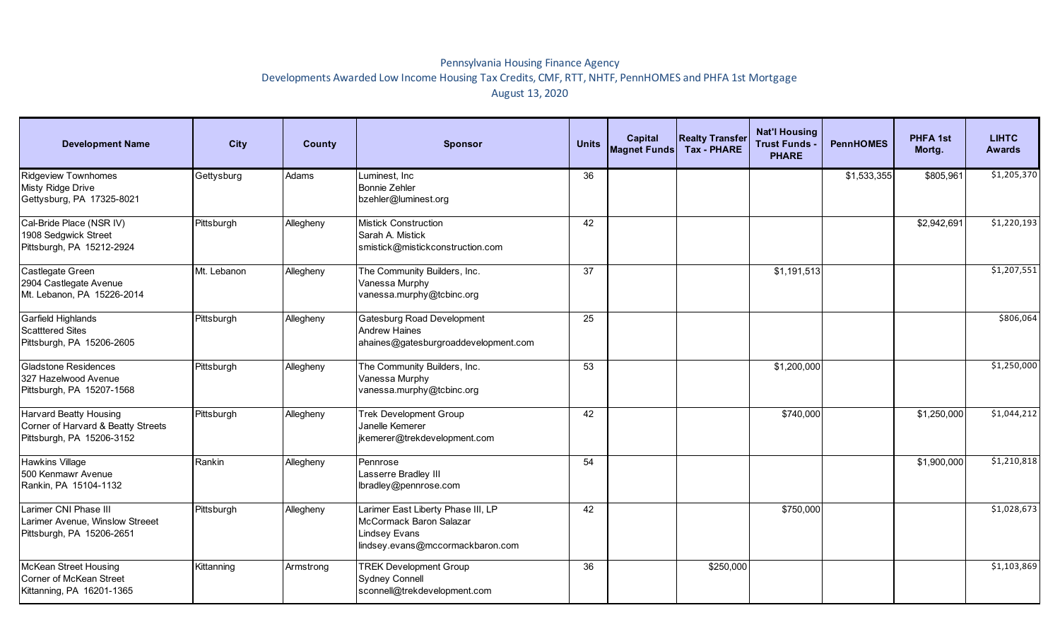## Pennsylvania Housing Finance Agency Developments Awarded Low Income Housing Tax Credits, CMF, RTT, NHTF, PennHOMES and PHFA 1st Mortgage August 13, 2020

| <b>Development Name</b>                                                                          | <b>City</b> | County    | <b>Sponsor</b>                                                                                                            | <b>Units</b> | <b>Capital</b><br>Magnet Funds | <b>Realty Transfer</b><br><b>Tax - PHARE</b> | <b>Nat'l Housing</b><br><b>Trust Funds</b><br><b>PHARE</b> | <b>PennHOMES</b> | <b>PHFA 1st</b><br>Mortg. | <b>LIHTC</b><br><b>Awards</b> |
|--------------------------------------------------------------------------------------------------|-------------|-----------|---------------------------------------------------------------------------------------------------------------------------|--------------|--------------------------------|----------------------------------------------|------------------------------------------------------------|------------------|---------------------------|-------------------------------|
| <b>Ridgeview Townhomes</b><br>Misty Ridge Drive<br>Gettysburg, PA 17325-8021                     | Gettysburg  | Adams     | Luminest, Inc.<br><b>Bonnie Zehler</b><br>bzehler@luminest.org                                                            | 36           |                                |                                              |                                                            | \$1,533,355      | \$805,961                 | \$1,205,370                   |
| Cal-Bride Place (NSR IV)<br>1908 Sedgwick Street<br>Pittsburgh, PA 15212-2924                    | Pittsburgh  | Allegheny | <b>Mistick Construction</b><br>Sarah A. Mistick<br>smistick@mistickconstruction.com                                       | 42           |                                |                                              |                                                            |                  | \$2,942,691               | \$1,220,193                   |
| Castlegate Green<br>2904 Castlegate Avenue<br>Mt. Lebanon, PA 15226-2014                         | Mt. Lebanon | Allegheny | The Community Builders, Inc.<br>Vanessa Murphy<br>vanessa.murphy@tcbinc.org                                               | 37           |                                |                                              | \$1,191,513                                                |                  |                           | \$1,207,551                   |
| Garfield Highlands<br><b>Scatttered Sites</b><br>Pittsburgh, PA 15206-2605                       | Pittsburgh  | Allegheny | <b>Gatesburg Road Development</b><br><b>Andrew Haines</b><br>ahaines@gatesburgroaddevelopment.com                         | 25           |                                |                                              |                                                            |                  |                           | \$806,064                     |
| <b>Gladstone Residences</b><br>327 Hazelwood Avenue<br>Pittsburgh, PA 15207-1568                 | Pittsburgh  | Allegheny | The Community Builders, Inc.<br>Vanessa Murphy<br>vanessa.murphy@tcbinc.org                                               | 53           |                                |                                              | \$1,200,000                                                |                  |                           | \$1,250,000                   |
| <b>Harvard Beatty Housing</b><br>Corner of Harvard & Beatty Streets<br>Pittsburgh, PA 15206-3152 | Pittsburgh  | Allegheny | <b>Trek Development Group</b><br>Janelle Kemerer<br>jkemerer@trekdevelopment.com                                          | 42           |                                |                                              | \$740,000                                                  |                  | \$1,250,000               | \$1,044,212                   |
| <b>Hawkins Village</b><br>500 Kenmawr Avenue<br>Rankin, PA 15104-1132                            | Rankin      | Allegheny | Pennrose<br>Lasserre Bradley III<br>lbradley@pennrose.com                                                                 | 54           |                                |                                              |                                                            |                  | \$1,900,000               | \$1,210,818                   |
| Larimer CNI Phase III<br>Larimer Avenue, Winslow Streeet<br>Pittsburgh, PA 15206-2651            | Pittsburgh  | Allegheny | Larimer East Liberty Phase III, LP<br>McCormack Baron Salazar<br><b>Lindsey Evans</b><br>lindsey.evans@mccormackbaron.com | 42           |                                |                                              | \$750,000                                                  |                  |                           | \$1,028,673                   |
| <b>McKean Street Housing</b><br>Corner of McKean Street<br>Kittanning, PA 16201-1365             | Kittanning  | Armstrong | <b>TREK Development Group</b><br><b>Sydney Connell</b><br>sconnell@trekdevelopment.com                                    | 36           |                                | \$250,000                                    |                                                            |                  |                           | \$1,103,869                   |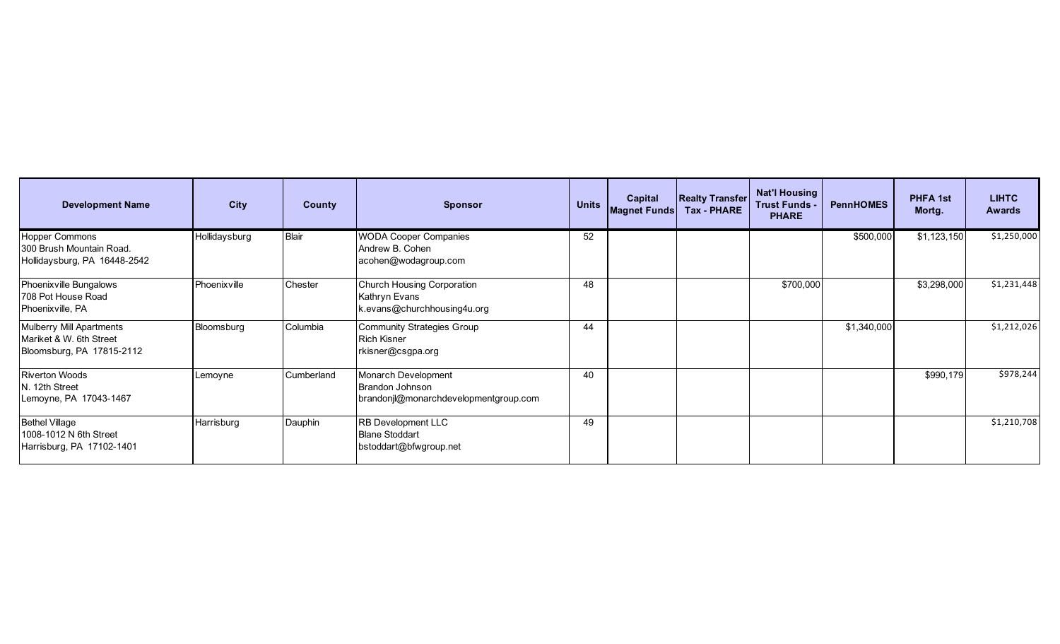| <b>Development Name</b>                                                                 | <b>City</b>   | County       | <b>Sponsor</b>                                                                  | <b>Units</b> | <b>Capital</b><br><b>Magnet Funds</b> | <b>Realty Transfer</b><br><b>Tax - PHARE</b> | <b>Nat'l Housing</b><br><b>Trust Funds -</b><br><b>PHARE</b> | <b>PennHOMES</b> | <b>PHFA 1st</b><br>Mortg. | <b>LIHTC</b><br><b>Awards</b> |
|-----------------------------------------------------------------------------------------|---------------|--------------|---------------------------------------------------------------------------------|--------------|---------------------------------------|----------------------------------------------|--------------------------------------------------------------|------------------|---------------------------|-------------------------------|
| <b>Hopper Commons</b><br>300 Brush Mountain Road.<br>Hollidaysburg, PA 16448-2542       | Hollidaysburg | <b>Blair</b> | <b>WODA Cooper Companies</b><br>Andrew B. Cohen<br>acohen@wodagroup.com         | 52           |                                       |                                              |                                                              | \$500,000        | \$1,123,150               | \$1,250,000                   |
| Phoenixville Bungalows<br>708 Pot House Road<br>Phoenixville, PA                        | Phoenixville  | Chester      | Church Housing Corporation<br>Kathryn Evans<br>k.evans@churchhousing4u.org      | 48           |                                       |                                              | \$700,000                                                    |                  | \$3,298,000               | \$1,231,448                   |
| <b>Mulberry Mill Apartments</b><br>Mariket & W. 6th Street<br>Bloomsburg, PA 17815-2112 | Bloomsburg    | Columbia     | <b>Community Strategies Group</b><br><b>Rich Kisner</b><br>rkisner@csgpa.org    | 44           |                                       |                                              |                                                              | \$1,340,000      |                           | \$1,212,026                   |
| <b>Riverton Woods</b><br>N. 12th Street<br>Lemoyne, PA 17043-1467                       | Lemoyne       | Cumberland   | Monarch Development<br>Brandon Johnson<br>brandonjl@monarchdevelopmentgroup.com | 40           |                                       |                                              |                                                              |                  | \$990,179                 | \$978,244                     |
| <b>Bethel Village</b><br>1008-1012 N 6th Street<br>Harrisburg, PA 17102-1401            | Harrisburg    | Dauphin      | RB Development LLC<br><b>Blane Stoddart</b><br>bstoddart@bfwgroup.net           | 49           |                                       |                                              |                                                              |                  |                           | \$1,210,708                   |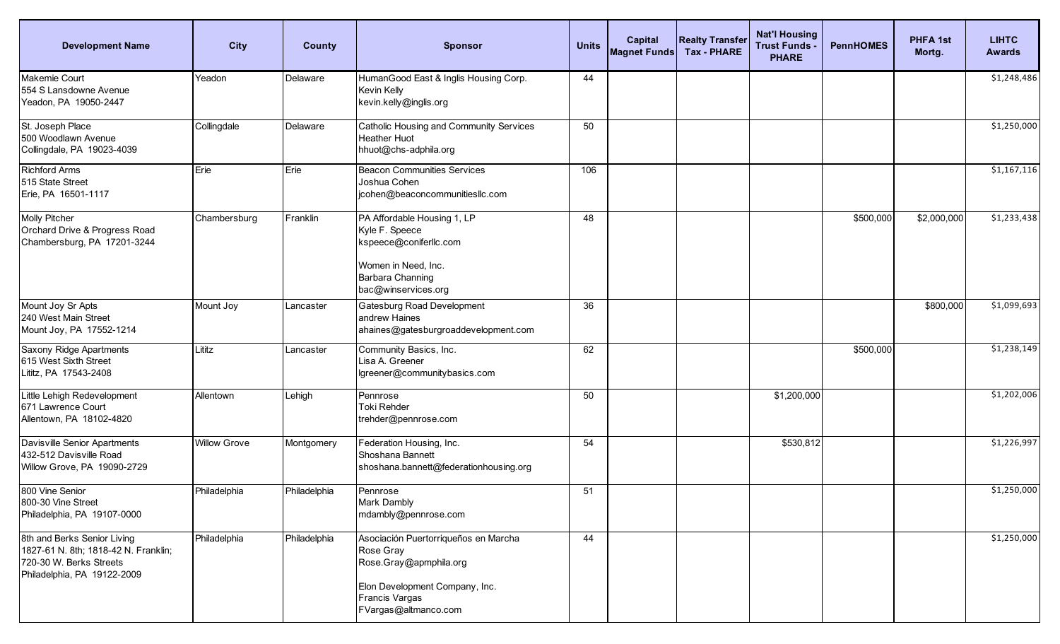| <b>Development Name</b>                                                                                                       | <b>City</b>         | <b>County</b> | <b>Sponsor</b>                                                                                                                                          | <b>Units</b> | <b>Capital</b><br><b>Magnet Funds</b> | <b>Realty Transfer</b><br><b>Tax - PHARE</b> | <b>Nat'l Housing</b><br><b>Trust Funds -</b><br><b>PHARE</b> | <b>PennHOMES</b> | <b>PHFA1st</b><br>Mortg. | <b>LIHTC</b><br><b>Awards</b> |
|-------------------------------------------------------------------------------------------------------------------------------|---------------------|---------------|---------------------------------------------------------------------------------------------------------------------------------------------------------|--------------|---------------------------------------|----------------------------------------------|--------------------------------------------------------------|------------------|--------------------------|-------------------------------|
| Makemie Court<br>554 S Lansdowne Avenue<br>Yeadon, PA 19050-2447                                                              | Yeadon              | Delaware      | HumanGood East & Inglis Housing Corp.<br>Kevin Kelly<br>kevin.kelly@inglis.org                                                                          | 44           |                                       |                                              |                                                              |                  |                          | \$1,248,486                   |
| St. Joseph Place<br>500 Woodlawn Avenue<br>Collingdale, PA 19023-4039                                                         | Collingdale         | Delaware      | Catholic Housing and Community Services<br><b>Heather Huot</b><br>hhuot@chs-adphila.org                                                                 | 50           |                                       |                                              |                                                              |                  |                          | \$1,250,000                   |
| <b>Richford Arms</b><br>515 State Street<br>Erie, PA 16501-1117                                                               | Erie                | Erie          | <b>Beacon Communities Services</b><br>Joshua Cohen<br>jcohen@beaconcommunitiesllc.com                                                                   | 106          |                                       |                                              |                                                              |                  |                          | \$1,167,116                   |
| Molly Pitcher<br>Orchard Drive & Progress Road<br>Chambersburg, PA 17201-3244                                                 | Chambersburg        | Franklin      | PA Affordable Housing 1, LP<br>Kyle F. Speece<br>kspeece@coniferllc.com<br>Women in Need, Inc.<br>Barbara Channing<br>bac@winservices.org               | 48           |                                       |                                              |                                                              | \$500,000        | \$2,000,000              | \$1,233,438                   |
| Mount Joy Sr Apts<br>240 West Main Street<br>Mount Joy, PA 17552-1214                                                         | Mount Joy           | Lancaster     | Gatesburg Road Development<br>andrew Haines<br>ahaines@gatesburgroaddevelopment.com                                                                     | 36           |                                       |                                              |                                                              |                  | \$800,000                | \$1,099,693                   |
| Saxony Ridge Apartments<br>615 West Sixth Street<br>Lititz, PA 17543-2408                                                     | Lititz              | Lancaster     | Community Basics, Inc.<br>Lisa A. Greener<br>lgreener@communitybasics.com                                                                               | 62           |                                       |                                              |                                                              | \$500,000        |                          | \$1,238,149                   |
| Little Lehigh Redevelopment<br>671 Lawrence Court<br>Allentown, PA 18102-4820                                                 | Allentown           | Lehigh        | Pennrose<br>Toki Rehder<br>trehder@pennrose.com                                                                                                         | 50           |                                       |                                              | \$1,200,000                                                  |                  |                          | \$1,202,006                   |
| Davisville Senior Apartments<br>432-512 Davisville Road<br>Willow Grove, PA 19090-2729                                        | <b>Willow Grove</b> | Montgomery    | Federation Housing, Inc.<br>Shoshana Bannett<br>shoshana.bannett@federationhousing.org                                                                  | 54           |                                       |                                              | \$530,812                                                    |                  |                          | \$1,226,997                   |
| 800 Vine Senior<br>800-30 Vine Street<br>Philadelphia, PA 19107-0000                                                          | Philadelphia        | Philadelphia  | Pennrose<br>Mark Dambly<br>mdambly@pennrose.com                                                                                                         | 51           |                                       |                                              |                                                              |                  |                          | \$1,250,000                   |
| 8th and Berks Senior Living<br>1827-61 N. 8th; 1818-42 N. Franklin;<br>720-30 W. Berks Streets<br>Philadelphia, PA 19122-2009 | Philadelphia        | Philadelphia  | Asociación Puertorriqueños en Marcha<br>Rose Gray<br>Rose.Gray@apmphila.org<br>Elon Development Company, Inc.<br>Francis Vargas<br>FVargas@altmanco.com | 44           |                                       |                                              |                                                              |                  |                          | \$1,250,000                   |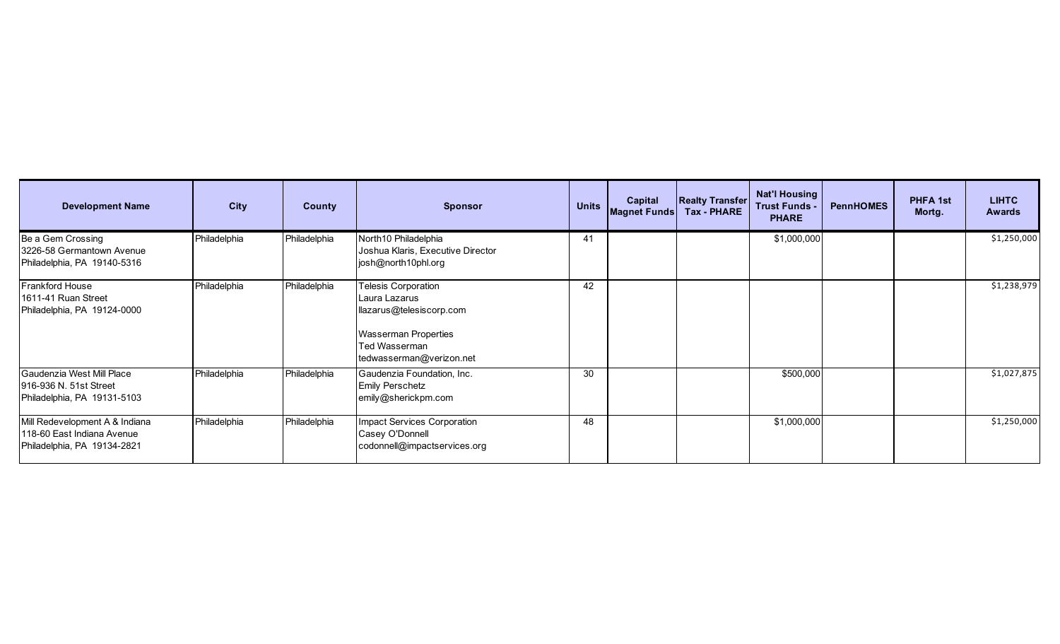| <b>Development Name</b>                                                                     | <b>City</b>  | <b>County</b> | <b>Sponsor</b>                                                                                                                               | <b>Units</b> | <b>Capital</b><br><b>Magnet Funds</b> | <b>Realty Transfer</b><br><b>Tax - PHARE</b> | Nat'l Housing<br><b>Trust Funds -</b><br><b>PHARE</b> | <b>PennHOMES</b> | PHFA 1st<br>Mortg. | <b>LIHTC</b><br><b>Awards</b> |
|---------------------------------------------------------------------------------------------|--------------|---------------|----------------------------------------------------------------------------------------------------------------------------------------------|--------------|---------------------------------------|----------------------------------------------|-------------------------------------------------------|------------------|--------------------|-------------------------------|
| Be a Gem Crossing<br>3226-58 Germantown Avenue<br>Philadelphia, PA 19140-5316               | Philadelphia | Philadelphia  | North10 Philadelphia<br>Joshua Klaris, Executive Director<br>josh@north10phl.org                                                             | 41           |                                       |                                              | \$1,000,000                                           |                  |                    | \$1,250,000                   |
| <b>Frankford House</b><br>1611-41 Ruan Street<br>Philadelphia, PA 19124-0000                | Philadelphia | Philadelphia  | Telesis Corporation<br>Laura Lazarus<br>llazarus@telesiscorp.com<br><b>Wasserman Properties</b><br>Ted Wasserman<br>tedwasserman@verizon.net | 42           |                                       |                                              |                                                       |                  |                    | \$1,238,979                   |
| Gaudenzia West Mill Place<br>916-936 N. 51st Street<br>Philadelphia, PA 19131-5103          | Philadelphia | Philadelphia  | Gaudenzia Foundation, Inc.<br><b>Emily Perschetz</b><br>emily@sherickpm.com                                                                  | 30           |                                       |                                              | \$500,000                                             |                  |                    | \$1,027,875                   |
| Mill Redevelopment A & Indiana<br>118-60 East Indiana Avenue<br>Philadelphia, PA 19134-2821 | Philadelphia | Philadelphia  | Impact Services Corporation<br>Casey O'Donnell<br>codonnell@impactservices.org                                                               | 48           |                                       |                                              | \$1,000,000                                           |                  |                    | \$1,250,000                   |